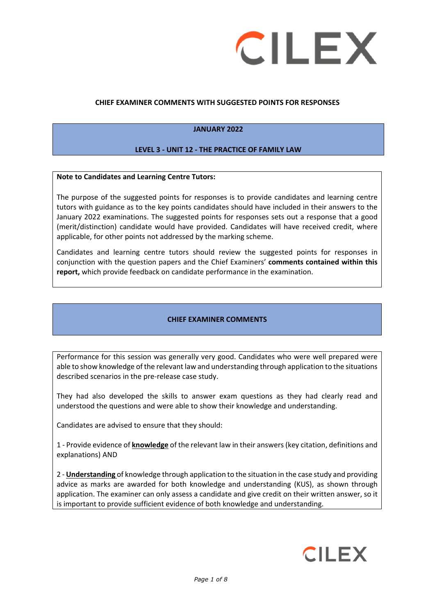

## **CHIEF EXAMINER COMMENTS WITH SUGGESTED POINTS FOR RESPONSES**

## **JANUARY 2022**

#### **LEVEL 3 - UNIT 12 - THE PRACTICE OF FAMILY LAW**

#### **Note to Candidates and Learning Centre Tutors:**

The purpose of the suggested points for responses is to provide candidates and learning centre tutors with guidance as to the key points candidates should have included in their answers to the January 2022 examinations. The suggested points for responses sets out a response that a good (merit/distinction) candidate would have provided. Candidates will have received credit, where applicable, for other points not addressed by the marking scheme.

Candidates and learning centre tutors should review the suggested points for responses in conjunction with the question papers and the Chief Examiners' **comments contained within this report,** which provide feedback on candidate performance in the examination.

#### **CHIEF EXAMINER COMMENTS**

Performance for this session was generally very good. Candidates who were well prepared were able to show knowledge of the relevant law and understanding through application to the situations described scenarios in the pre-release case study.

They had also developed the skills to answer exam questions as they had clearly read and understood the questions and were able to show their knowledge and understanding.

Candidates are advised to ensure that they should:

1 - Provide evidence of **knowledge** of the relevant law in their answers (key citation, definitions and explanations) AND

2 - **Understanding** of knowledge through application to the situation in the case study and providing advice as marks are awarded for both knowledge and understanding (KUS), as shown through application. The examiner can only assess a candidate and give credit on their written answer, so it is important to provide sufficient evidence of both knowledge and understanding.

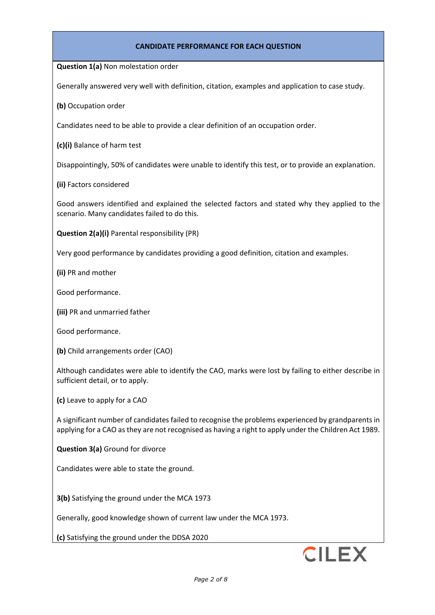### **CANDIDATE PERFORMANCE FOR EACH QUESTION**

**Question 1(a)** Non molestation order

Generally answered very well with definition, citation, examples and application to case study.

**(b)** Occupation order

Candidates need to be able to provide a clear definition of an occupation order.

**(c)(i)** Balance of harm test

Disappointingly, 50% of candidates were unable to identify this test, or to provide an explanation.

**(ii)** Factors considered

Good answers identified and explained the selected factors and stated why they applied to the scenario. Many candidates failed to do this.

**Question 2(a)(i)** Parental responsibility (PR)

Very good performance by candidates providing a good definition, citation and examples.

**(ii)** PR and mother

Good performance.

**(iii)** PR and unmarried father

Good performance.

**(b)** Child arrangements order (CAO)

Although candidates were able to identify the CAO, marks were lost by failing to either describe in sufficient detail, or to apply.

**(c)** Leave to apply for a CAO

A significant number of candidates failed to recognise the problems experienced by grandparents in applying for a CAO as they are not recognised as having a right to apply under the Children Act 1989.

**Question 3(a)** Ground for divorce

Candidates were able to state the ground.

**3(b)** Satisfying the ground under the MCA 1973

Generally, good knowledge shown of current law under the MCA 1973.

**(c)** Satisfying the ground under the DDSA 2020

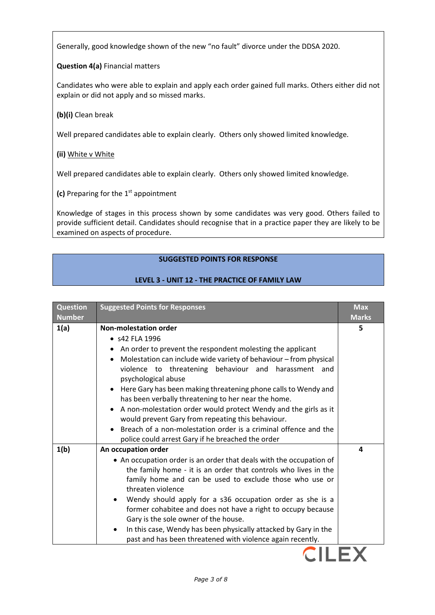Generally, good knowledge shown of the new "no fault" divorce under the DDSA 2020.

**Question 4(a)** Financial matters

Candidates who were able to explain and apply each order gained full marks. Others either did not explain or did not apply and so missed marks.

**(b)(i)** Clean break

Well prepared candidates able to explain clearly. Others only showed limited knowledge.

**(ii)** White v White

Well prepared candidates able to explain clearly. Others only showed limited knowledge.

**(c)** Preparing for the 1<sup>st</sup> appointment

Knowledge of stages in this process shown by some candidates was very good. Others failed to provide sufficient detail. Candidates should recognise that in a practice paper they are likely to be examined on aspects of procedure.

# **SUGGESTED POINTS FOR RESPONSE**

## **LEVEL 3 - UNIT 12 - THE PRACTICE OF FAMILY LAW**

| <b>Question</b><br><b>Number</b> | <b>Suggested Points for Responses</b>                                                                                                                                                                                                                                                                                                                                                                                                                                                                                                                                                                                                          | <b>Max</b><br><b>Marks</b> |
|----------------------------------|------------------------------------------------------------------------------------------------------------------------------------------------------------------------------------------------------------------------------------------------------------------------------------------------------------------------------------------------------------------------------------------------------------------------------------------------------------------------------------------------------------------------------------------------------------------------------------------------------------------------------------------------|----------------------------|
| 1(a)                             | <b>Non-molestation order</b><br>• s42 FLA 1996<br>An order to prevent the respondent molesting the applicant<br>Molestation can include wide variety of behaviour - from physical<br>violence to threatening behaviour and harassment and<br>psychological abuse<br>Here Gary has been making threatening phone calls to Wendy and<br>has been verbally threatening to her near the home.<br>A non-molestation order would protect Wendy and the girls as it<br>٠<br>would prevent Gary from repeating this behaviour.<br>Breach of a non-molestation order is a criminal offence and the<br>police could arrest Gary if he breached the order | 5                          |
| 1(b)                             | An occupation order<br>• An occupation order is an order that deals with the occupation of<br>the family home - it is an order that controls who lives in the<br>family home and can be used to exclude those who use or<br>threaten violence<br>Wendy should apply for a s36 occupation order as she is a<br>former cohabitee and does not have a right to occupy because<br>Gary is the sole owner of the house.<br>In this case, Wendy has been physically attacked by Gary in the<br>past and has been threatened with violence again recently.                                                                                            | 4                          |

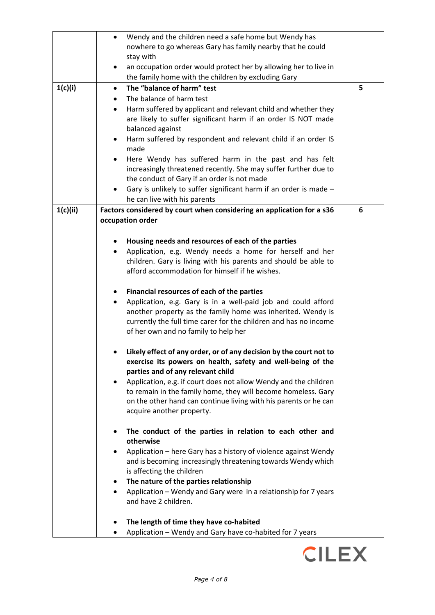|          | Wendy and the children need a safe home but Wendy has<br>$\bullet$                                                              |   |
|----------|---------------------------------------------------------------------------------------------------------------------------------|---|
|          | nowhere to go whereas Gary has family nearby that he could                                                                      |   |
|          | stay with                                                                                                                       |   |
|          | an occupation order would protect her by allowing her to live in<br>the family home with the children by excluding Gary         |   |
| 1(c)(i)  | The "balance of harm" test<br>$\bullet$                                                                                         | 5 |
|          | The balance of harm test                                                                                                        |   |
|          | Harm suffered by applicant and relevant child and whether they<br>$\bullet$                                                     |   |
|          | are likely to suffer significant harm if an order IS NOT made<br>balanced against                                               |   |
|          | Harm suffered by respondent and relevant child if an order IS<br>٠<br>made                                                      |   |
|          | Here Wendy has suffered harm in the past and has felt                                                                           |   |
|          | increasingly threatened recently. She may suffer further due to                                                                 |   |
|          | the conduct of Gary if an order is not made                                                                                     |   |
|          | Gary is unlikely to suffer significant harm if an order is made -                                                               |   |
|          | he can live with his parents                                                                                                    |   |
| 1(c)(ii) | Factors considered by court when considering an application for a s36                                                           | 6 |
|          | occupation order                                                                                                                |   |
|          | Housing needs and resources of each of the parties                                                                              |   |
|          | Application, e.g. Wendy needs a home for herself and her<br>$\bullet$                                                           |   |
|          | children. Gary is living with his parents and should be able to                                                                 |   |
|          | afford accommodation for himself if he wishes.                                                                                  |   |
|          | Financial resources of each of the parties                                                                                      |   |
|          | Application, e.g. Gary is in a well-paid job and could afford<br>$\bullet$                                                      |   |
|          | another property as the family home was inherited. Wendy is                                                                     |   |
|          | currently the full time carer for the children and has no income                                                                |   |
|          | of her own and no family to help her                                                                                            |   |
|          | Likely effect of any order, or of any decision by the court not to                                                              |   |
|          | exercise its powers on health, safety and well-being of the                                                                     |   |
|          | parties and of any relevant child                                                                                               |   |
|          | Application, e.g. if court does not allow Wendy and the children                                                                |   |
|          | to remain in the family home, they will become homeless. Gary                                                                   |   |
|          | on the other hand can continue living with his parents or he can                                                                |   |
|          | acquire another property.                                                                                                       |   |
|          | The conduct of the parties in relation to each other and                                                                        |   |
|          | otherwise                                                                                                                       |   |
|          | Application – here Gary has a history of violence against Wendy<br>and is becoming increasingly threatening towards Wendy which |   |
|          | is affecting the children                                                                                                       |   |
|          | The nature of the parties relationship                                                                                          |   |
|          | Application – Wendy and Gary were in a relationship for 7 years                                                                 |   |
|          | and have 2 children.                                                                                                            |   |
|          |                                                                                                                                 |   |
|          | The length of time they have co-habited<br>Application - Wendy and Gary have co-habited for 7 years                             |   |
|          |                                                                                                                                 |   |

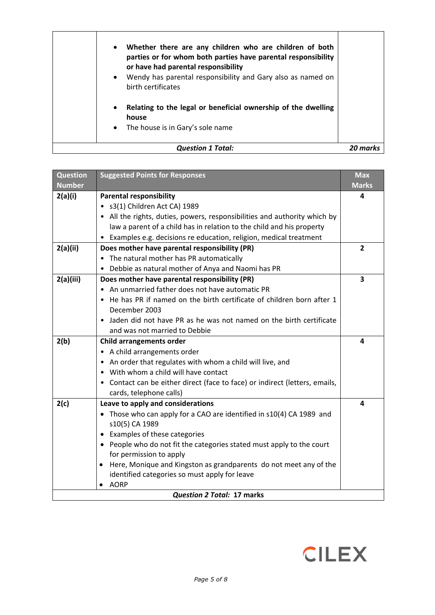| The house is in Gary's sole name<br>$\bullet$<br><b>Question 1 Total:</b>                                                                                                                                                                                                      |  |
|--------------------------------------------------------------------------------------------------------------------------------------------------------------------------------------------------------------------------------------------------------------------------------|--|
| Relating to the legal or beneficial ownership of the dwelling<br>$\bullet$<br>house                                                                                                                                                                                            |  |
| Whether there are any children who are children of both<br>$\bullet$<br>parties or for whom both parties have parental responsibility<br>or have had parental responsibility<br>Wendy has parental responsibility and Gary also as named on<br>$\bullet$<br>birth certificates |  |

| <b>Question</b>            | <b>Suggested Points for Responses</b>                                       | <b>Max</b>              |
|----------------------------|-----------------------------------------------------------------------------|-------------------------|
| <b>Number</b>              |                                                                             | <b>Marks</b>            |
| 2(a)(i)                    | <b>Parental responsibility</b>                                              | 4                       |
|                            | · s3(1) Children Act CA) 1989                                               |                         |
|                            | • All the rights, duties, powers, responsibilities and authority which by   |                         |
|                            | law a parent of a child has in relation to the child and his property       |                         |
|                            | • Examples e.g. decisions re education, religion, medical treatment         |                         |
| 2(a)(ii)                   | Does mother have parental responsibility (PR)                               | $\overline{2}$          |
|                            | • The natural mother has PR automatically                                   |                         |
|                            | • Debbie as natural mother of Anya and Naomi has PR                         |                         |
| 2(a)(iii)                  | Does mother have parental responsibility (PR)                               | $\overline{\mathbf{3}}$ |
|                            | • An unmarried father does not have automatic PR                            |                         |
|                            | • He has PR if named on the birth certificate of children born after 1      |                         |
|                            | December 2003                                                               |                         |
|                            | • Jaden did not have PR as he was not named on the birth certificate        |                         |
|                            | and was not married to Debbie                                               |                         |
| 2(b)                       | <b>Child arrangements order</b>                                             | 4                       |
|                            | • A child arrangements order                                                |                         |
|                            | • An order that regulates with whom a child will live, and                  |                         |
|                            | • With whom a child will have contact                                       |                         |
|                            | • Contact can be either direct (face to face) or indirect (letters, emails, |                         |
|                            | cards, telephone calls)                                                     |                         |
| 2(c)                       | Leave to apply and considerations                                           | 4                       |
|                            | • Those who can apply for a CAO are identified in s10(4) CA 1989 and        |                         |
|                            | s10(5) CA 1989                                                              |                         |
|                            | • Examples of these categories                                              |                         |
|                            | • People who do not fit the categories stated must apply to the court       |                         |
|                            | for permission to apply                                                     |                         |
|                            | Here, Monique and Kingston as grandparents do not meet any of the           |                         |
|                            | identified categories so must apply for leave                               |                         |
|                            | AORP<br>$\bullet$                                                           |                         |
| Question 2 Total: 17 marks |                                                                             |                         |

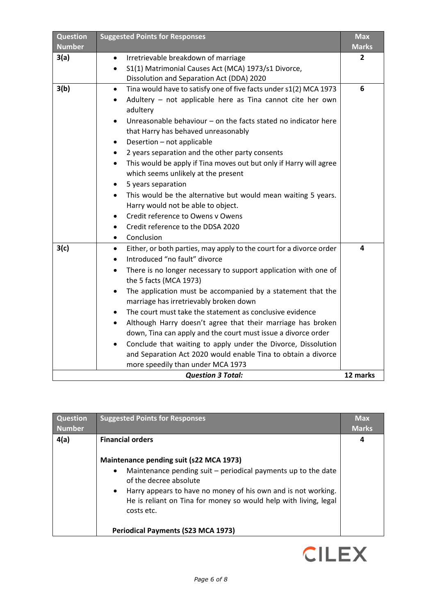| <b>Question</b><br><b>Number</b> | <b>Suggested Points for Responses</b>                                                                             | <b>Max</b><br><b>Marks</b> |
|----------------------------------|-------------------------------------------------------------------------------------------------------------------|----------------------------|
| 3(a)                             | Irretrievable breakdown of marriage                                                                               | 2                          |
|                                  | S1(1) Matrimonial Causes Act (MCA) 1973/s1 Divorce,<br>$\bullet$<br>Dissolution and Separation Act (DDA) 2020     |                            |
| 3(b)                             | Tina would have to satisfy one of five facts under s1(2) MCA 1973<br>$\bullet$                                    | 6                          |
|                                  | Adultery - not applicable here as Tina cannot cite her own                                                        |                            |
|                                  | adultery                                                                                                          |                            |
|                                  | Unreasonable behaviour $-$ on the facts stated no indicator here<br>$\bullet$                                     |                            |
|                                  | that Harry has behaved unreasonably                                                                               |                            |
|                                  | Desertion - not applicable<br>$\bullet$                                                                           |                            |
|                                  | 2 years separation and the other party consents<br>$\bullet$                                                      |                            |
|                                  | This would be apply if Tina moves out but only if Harry will agree                                                |                            |
|                                  | which seems unlikely at the present                                                                               |                            |
|                                  | 5 years separation                                                                                                |                            |
|                                  | This would be the alternative but would mean waiting 5 years.                                                     |                            |
|                                  | Harry would not be able to object.                                                                                |                            |
|                                  | Credit reference to Owens y Owens                                                                                 |                            |
|                                  | Credit reference to the DDSA 2020<br>$\bullet$                                                                    |                            |
|                                  | Conclusion<br>$\bullet$                                                                                           |                            |
| 3(c)                             | Either, or both parties, may apply to the court for a divorce order<br>$\bullet$<br>Introduced "no fault" divorce | 4                          |
|                                  |                                                                                                                   |                            |
|                                  | There is no longer necessary to support application with one of<br>$\bullet$<br>the 5 facts (MCA 1973)            |                            |
|                                  | The application must be accompanied by a statement that the<br>$\bullet$                                          |                            |
|                                  | marriage has irretrievably broken down                                                                            |                            |
|                                  | The court must take the statement as conclusive evidence<br>$\bullet$                                             |                            |
|                                  | Although Harry doesn't agree that their marriage has broken<br>$\bullet$                                          |                            |
|                                  | down, Tina can apply and the court must issue a divorce order                                                     |                            |
|                                  | Conclude that waiting to apply under the Divorce, Dissolution                                                     |                            |
|                                  | and Separation Act 2020 would enable Tina to obtain a divorce                                                     |                            |
|                                  | more speedily than under MCA 1973                                                                                 |                            |
|                                  | <b>Question 3 Total:</b>                                                                                          | 12 marks                   |

| <b>Question</b> | <b>Suggested Points for Responses</b>                                                                                                                        | <b>Max</b>   |
|-----------------|--------------------------------------------------------------------------------------------------------------------------------------------------------------|--------------|
| <b>Number</b>   |                                                                                                                                                              | <b>Marks</b> |
| 4(a)            | <b>Financial orders</b>                                                                                                                                      | 4            |
|                 | Maintenance pending suit (s22 MCA 1973)                                                                                                                      |              |
|                 | Maintenance pending suit – periodical payments up to the date<br>$\bullet$<br>of the decree absolute                                                         |              |
|                 | Harry appears to have no money of his own and is not working.<br>$\bullet$<br>He is reliant on Tina for money so would help with living, legal<br>costs etc. |              |
|                 | <b>Periodical Payments (S23 MCA 1973)</b>                                                                                                                    |              |

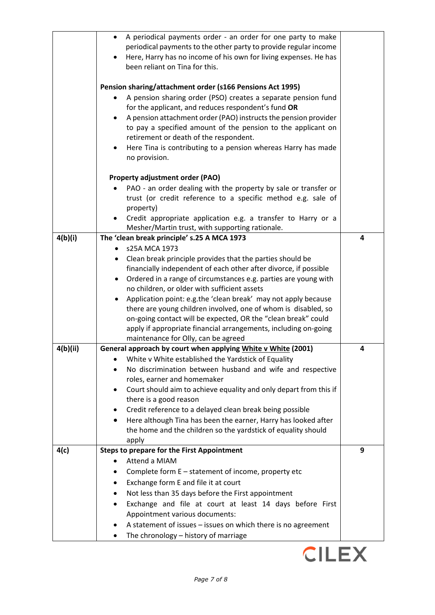|          | A periodical payments order - an order for one party to make<br>$\bullet$<br>periodical payments to the other party to provide regular income<br>Here, Harry has no income of his own for living expenses. He has<br>been reliant on Tina for this.                                                                                                                                                                                                                                                                                                                                                                                                                    |   |
|----------|------------------------------------------------------------------------------------------------------------------------------------------------------------------------------------------------------------------------------------------------------------------------------------------------------------------------------------------------------------------------------------------------------------------------------------------------------------------------------------------------------------------------------------------------------------------------------------------------------------------------------------------------------------------------|---|
|          | Pension sharing/attachment order (s166 Pensions Act 1995)<br>A pension sharing order (PSO) creates a separate pension fund<br>for the applicant, and reduces respondent's fund OR<br>A pension attachment order (PAO) instructs the pension provider<br>to pay a specified amount of the pension to the applicant on<br>retirement or death of the respondent.<br>Here Tina is contributing to a pension whereas Harry has made<br>$\bullet$<br>no provision.                                                                                                                                                                                                          |   |
|          | <b>Property adjustment order (PAO)</b><br>PAO - an order dealing with the property by sale or transfer or<br>trust (or credit reference to a specific method e.g. sale of<br>property)<br>Credit appropriate application e.g. a transfer to Harry or a<br>Mesher/Martin trust, with supporting rationale.                                                                                                                                                                                                                                                                                                                                                              |   |
| 4(b)(i)  | The 'clean break principle' s.25 A MCA 1973<br>s25A MCA 1973<br>$\bullet$<br>Clean break principle provides that the parties should be<br>financially independent of each other after divorce, if possible<br>Ordered in a range of circumstances e.g. parties are young with<br>$\bullet$<br>no children, or older with sufficient assets<br>Application point: e.g.the 'clean break' may not apply because<br>$\bullet$<br>there are young children involved, one of whom is disabled, so<br>on-going contact will be expected, OR the "clean break" could<br>apply if appropriate financial arrangements, including on-going<br>maintenance for Olly, can be agreed | 4 |
| 4(b)(ii) | General approach by court when applying White v White (2001)<br>White v White established the Yardstick of Equality<br>No discrimination between husband and wife and respective<br>roles, earner and homemaker<br>Court should aim to achieve equality and only depart from this if<br>there is a good reason<br>Credit reference to a delayed clean break being possible<br>٠<br>Here although Tina has been the earner, Harry has looked after<br>$\bullet$<br>the home and the children so the yardstick of equality should<br>apply                                                                                                                               | 4 |
| 4(c)     | <b>Steps to prepare for the First Appointment</b><br>Attend a MIAM<br>Complete form E - statement of income, property etc<br>Exchange form E and file it at court<br>٠<br>Not less than 35 days before the First appointment<br>Exchange and file at court at least 14 days before First<br>Appointment various documents:<br>A statement of issues - issues on which there is no agreement<br>The chronology - history of marriage                                                                                                                                                                                                                                    | 9 |